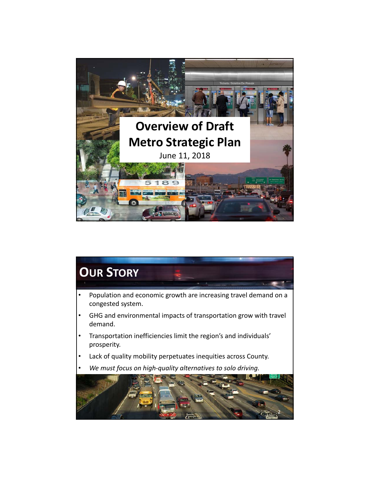

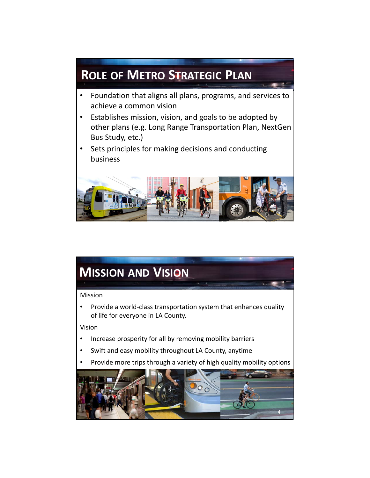## • Foundation that aligns all plans, programs, and services to achieve a common vision • Establishes mission, vision, and goals to be adopted by other plans (e.g. Long Range Transportation Plan, NextGen Bus Study, etc.) Sets principles for making decisions and conducting business **ROLE OF METRO STRATEGIC PLAN**

3

## **MISSION AND VISION**

## Mission

• Provide a world‐class transportation system that enhances quality of life for everyone in LA County.

Vision

- Increase prosperity for all by removing mobility barriers
- Swift and easy mobility throughout LA County, anytime
- Provide more trips through a variety of high quality mobility options

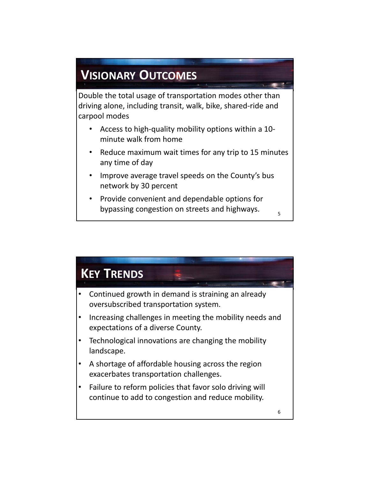## **VISIONARY OUTCOMES**

Double the total usage of transportation modes other than driving alone, including transit, walk, bike, shared‐ride and carpool modes

- Access to high-quality mobility options within a 10minute walk from home
- Reduce maximum wait times for any trip to 15 minutes any time of day

5

- Improve average travel speeds on the County's bus network by 30 percent
- Provide convenient and dependable options for bypassing congestion on streets and highways.

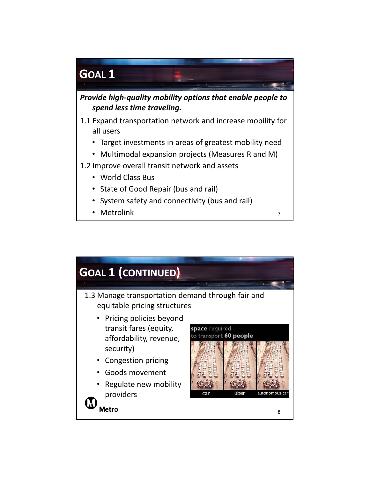

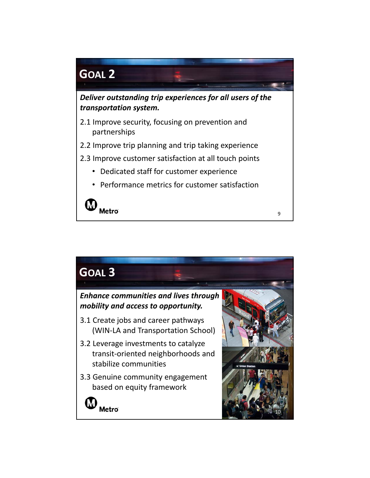

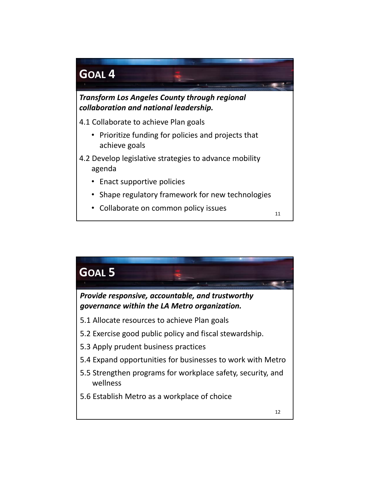